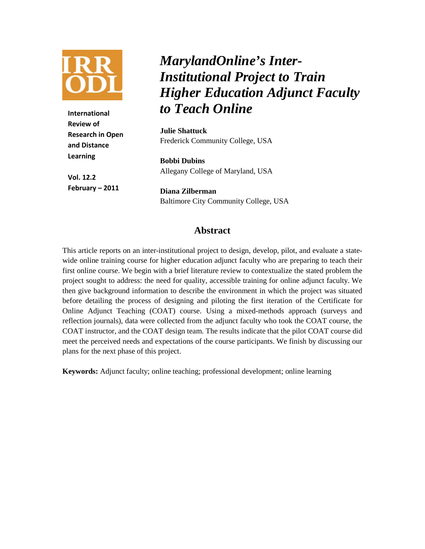

**International Review of Research in Open and Distance Learning**

# *MarylandOnline's Inter-Institutional Project to Train Higher Education Adjunct Faculty to Teach Online*

**Julie Shattuck**  Frederick Community College, USA

**Vol. 12.2 February – 2011** **Bobbi Dubins**  Allegany College of Maryland, USA

**Diana Zilberman**  Baltimore City Community College, USA

#### **Abstract**

This article reports on an inter-institutional project to design, develop, pilot, and evaluate a statewide online training course for higher education adjunct faculty who are preparing to teach their first online course. We begin with a brief literature review to contextualize the stated problem the project sought to address: the need for quality, accessible training for online adjunct faculty. We then give background information to describe the environment in which the project was situated before detailing the process of designing and piloting the first iteration of the Certificate for Online Adjunct Teaching (COAT) course. Using a mixed-methods approach (surveys and reflection journals), data were collected from the adjunct faculty who took the COAT course, the COAT instructor, and the COAT design team. The results indicate that the pilot COAT course did meet the perceived needs and expectations of the course participants. We finish by discussing our plans for the next phase of this project.

**Keywords:** Adjunct faculty; online teaching; professional development; online learning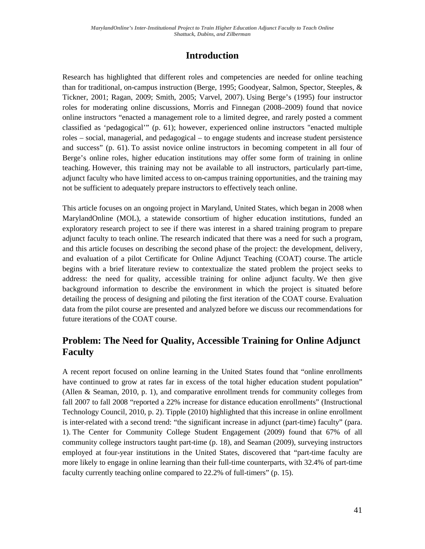### **Introduction**

Research has highlighted that different roles and competencies are needed for online teaching than for traditional, on-campus instruction (Berge, 1995; Goodyear, Salmon, Spector, Steeples, & Tickner, 2001; Ragan, 2009; Smith, 2005; Varvel, 2007). Using Berge's (1995) four instructor roles for moderating online discussions, Morris and Finnegan (2008–2009) found that novice online instructors "enacted a management role to a limited degree, and rarely posted a comment classified as 'pedagogical'" (p. 61); however, experienced online instructors "enacted multiple roles – social, managerial, and pedagogical – to engage students and increase student persistence and success" (p. 61). To assist novice online instructors in becoming competent in all four of Berge's online roles, higher education institutions may offer some form of training in online teaching. However, this training may not be available to all instructors, particularly part-time, adjunct faculty who have limited access to on-campus training opportunities, and the training may not be sufficient to adequately prepare instructors to effectively teach online.

This article focuses on an ongoing project in Maryland, United States, which began in 2008 when MarylandOnline (MOL), a statewide consortium of higher education institutions, funded an exploratory research project to see if there was interest in a shared training program to prepare adjunct faculty to teach online. The research indicated that there was a need for such a program, and this article focuses on describing the second phase of the project: the development, delivery, and evaluation of a pilot Certificate for Online Adjunct Teaching (COAT) course. The article begins with a brief literature review to contextualize the stated problem the project seeks to address: the need for quality, accessible training for online adjunct faculty. We then give background information to describe the environment in which the project is situated before detailing the process of designing and piloting the first iteration of the COAT course. Evaluation data from the pilot course are presented and analyzed before we discuss our recommendations for future iterations of the COAT course.

### **Problem: The Need for Quality, Accessible Training for Online Adjunct Faculty**

A recent report focused on online learning in the United States found that "online enrollments have continued to grow at rates far in excess of the total higher education student population" (Allen & Seaman, 2010, p. 1), and comparative enrollment trends for community colleges from fall 2007 to fall 2008 "reported a 22% increase for distance education enrollments" (Instructional Technology Council, 2010, p. 2). Tipple (2010) highlighted that this increase in online enrollment is inter-related with a second trend: "the significant increase in adjunct (part-time) faculty" (para. 1). The Center for Community College Student Engagement (2009) found that 67% of all community college instructors taught part-time (p. 18), and Seaman (2009), surveying instructors employed at four-year institutions in the United States, discovered that "part-time faculty are more likely to engage in online learning than their full-time counterparts, with 32.4% of part-time faculty currently teaching online compared to 22.2% of full-timers" (p. 15).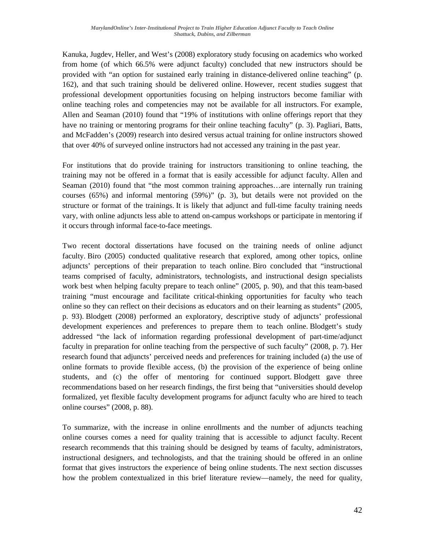Kanuka, Jugdev, Heller, and West's (2008) exploratory study focusing on academics who worked from home (of which 66.5% were adjunct faculty) concluded that new instructors should be provided with "an option for sustained early training in distance-delivered online teaching" (p. 162), and that such training should be delivered online. However, recent studies suggest that professional development opportunities focusing on helping instructors become familiar with online teaching roles and competencies may not be available for all instructors. For example, Allen and Seaman (2010) found that "19% of institutions with online offerings report that they have no training or mentoring programs for their online teaching faculty" (p. 3). Pagliari, Batts, and McFadden's (2009) research into desired versus actual training for online instructors showed that over 40% of surveyed online instructors had not accessed any training in the past year.

For institutions that do provide training for instructors transitioning to online teaching, the training may not be offered in a format that is easily accessible for adjunct faculty. Allen and Seaman (2010) found that "the most common training approaches…are internally run training courses (65%) and informal mentoring (59%)" (p. 3), but details were not provided on the structure or format of the trainings. It is likely that adjunct and full-time faculty training needs vary, with online adjuncts less able to attend on-campus workshops or participate in mentoring if it occurs through informal face-to-face meetings.

Two recent doctoral dissertations have focused on the training needs of online adjunct faculty. Biro (2005) conducted qualitative research that explored, among other topics, online adjuncts' perceptions of their preparation to teach online. Biro concluded that "instructional teams comprised of faculty, administrators, technologists, and instructional design specialists work best when helping faculty prepare to teach online" (2005, p. 90), and that this team-based training "must encourage and facilitate critical-thinking opportunities for faculty who teach online so they can reflect on their decisions as educators and on their learning as students" (2005, p. 93). Blodgett (2008) performed an exploratory, descriptive study of adjuncts' professional development experiences and preferences to prepare them to teach online. Blodgett's study addressed "the lack of information regarding professional development of part-time/adjunct faculty in preparation for online teaching from the perspective of such faculty" (2008, p. 7). Her research found that adjuncts' perceived needs and preferences for training included (a) the use of online formats to provide flexible access, (b) the provision of the experience of being online students, and (c) the offer of mentoring for continued support. Blodgett gave three recommendations based on her research findings, the first being that "universities should develop formalized, yet flexible faculty development programs for adjunct faculty who are hired to teach online courses" (2008, p. 88).

To summarize, with the increase in online enrollments and the number of adjuncts teaching online courses comes a need for quality training that is accessible to adjunct faculty. Recent research recommends that this training should be designed by teams of faculty, administrators, instructional designers, and technologists, and that the training should be offered in an online format that gives instructors the experience of being online students. The next section discusses how the problem contextualized in this brief literature review—namely, the need for quality,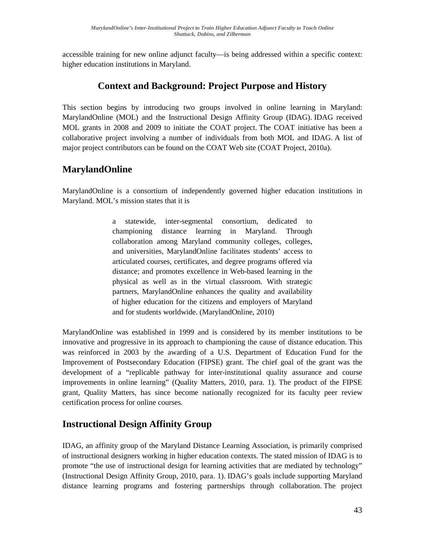accessible training for new online adjunct faculty—is being addressed within a specific context: higher education institutions in Maryland.

### **Context and Background: Project Purpose and History**

This section begins by introducing two groups involved in online learning in Maryland: MarylandOnline (MOL) and the Instructional Design Affinity Group (IDAG). IDAG received MOL grants in 2008 and 2009 to initiate the COAT project. The COAT initiative has been a collaborative project involving a number of individuals from both MOL and IDAG. A list of major project contributors can be found on the COAT Web site (COAT Project, 2010a).

# **MarylandOnline**

MarylandOnline is a consortium of independently governed higher education institutions in Maryland. MOL's mission states that it is

> a statewide, inter-segmental consortium, dedicated to championing distance learning in Maryland. Through collaboration among Maryland community colleges, colleges, and universities, MarylandOnline facilitates students' access to articulated courses, certificates, and degree programs offered via distance; and promotes excellence in Web-based learning in the physical as well as in the virtual classroom. With strategic partners, MarylandOnline enhances the quality and availability of higher education for the citizens and employers of Maryland and for students worldwide. (MarylandOnline, 2010)

MarylandOnline was established in 1999 and is considered by its member institutions to be innovative and progressive in its approach to championing the cause of distance education. This was reinforced in 2003 by the awarding of a U.S. Department of Education Fund for the Improvement of Postsecondary Education (FIPSE) grant. The chief goal of the grant was the development of a "replicable pathway for inter-institutional quality assurance and course improvements in online learning" (Quality Matters, 2010, para. 1). The product of the FIPSE grant, Quality Matters, has since become nationally recognized for its faculty peer review certification process for online courses.

### **Instructional Design Affinity Group**

IDAG, an affinity group of the Maryland Distance Learning Association, is primarily comprised of instructional designers working in higher education contexts. The stated mission of IDAG is to promote "the use of instructional design for learning activities that are mediated by technology" (Instructional Design Affinity Group, 2010, para. 1). IDAG's goals include supporting Maryland distance learning programs and fostering partnerships through collaboration. The project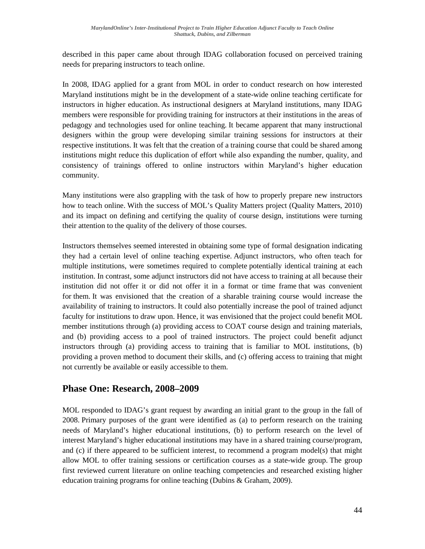described in this paper came about through IDAG collaboration focused on perceived training needs for preparing instructors to teach online.

In 2008, IDAG applied for a grant from MOL in order to conduct research on how interested Maryland institutions might be in the development of a state-wide online teaching certificate for instructors in higher education. As instructional designers at Maryland institutions, many IDAG members were responsible for providing training for instructors at their institutions in the areas of pedagogy and technologies used for online teaching. It became apparent that many instructional designers within the group were developing similar training sessions for instructors at their respective institutions. It was felt that the creation of a training course that could be shared among institutions might reduce this duplication of effort while also expanding the number, quality, and consistency of trainings offered to online instructors within Maryland's higher education community.

Many institutions were also grappling with the task of how to properly prepare new instructors how to teach online. With the success of MOL's Quality Matters project (Quality Matters, 2010) and its impact on defining and certifying the quality of course design, institutions were turning their attention to the quality of the delivery of those courses.

Instructors themselves seemed interested in obtaining some type of formal designation indicating they had a certain level of online teaching expertise. Adjunct instructors, who often teach for multiple institutions, were sometimes required to complete potentially identical training at each institution. In contrast, some adjunct instructors did not have access to training at all because their institution did not offer it or did not offer it in a format or time frame that was convenient for them. It was envisioned that the creation of a sharable training course would increase the availability of training to instructors. It could also potentially increase the pool of trained adjunct faculty for institutions to draw upon. Hence, it was envisioned that the project could benefit MOL member institutions through (a) providing access to COAT course design and training materials, and (b) providing access to a pool of trained instructors. The project could benefit adjunct instructors through (a) providing access to training that is familiar to MOL institutions, (b) providing a proven method to document their skills, and (c) offering access to training that might not currently be available or easily accessible to them.

#### **Phase One: Research, 2008–2009**

MOL responded to IDAG's grant request by awarding an initial grant to the group in the fall of 2008. Primary purposes of the grant were identified as (a) to perform research on the training needs of Maryland's higher educational institutions, (b) to perform research on the level of interest Maryland's higher educational institutions may have in a shared training course/program, and (c) if there appeared to be sufficient interest, to recommend a program model(s) that might allow MOL to offer training sessions or certification courses as a state-wide group. The group first reviewed current literature on online teaching competencies and researched existing higher education training programs for online teaching (Dubins & Graham, 2009).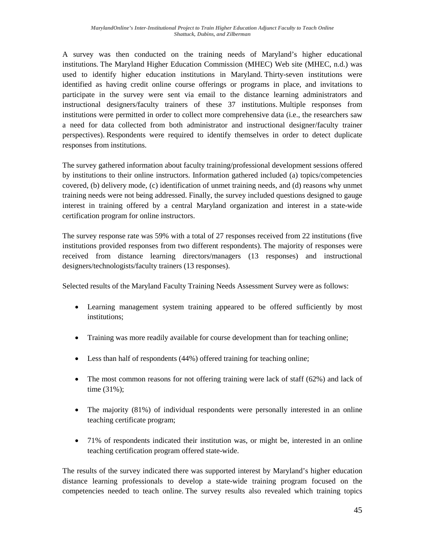A survey was then conducted on the training needs of Maryland's higher educational institutions. The Maryland Higher Education Commission (MHEC) Web site (MHEC, n.d.) was used to identify higher education institutions in Maryland. Thirty-seven institutions were identified as having credit online course offerings or programs in place, and invitations to participate in the survey were sent via email to the distance learning administrators and instructional designers/faculty trainers of these 37 institutions. Multiple responses from institutions were permitted in order to collect more comprehensive data (i.e., the researchers saw a need for data collected from both administrator and instructional designer/faculty trainer perspectives). Respondents were required to identify themselves in order to detect duplicate responses from institutions.

The survey gathered information about faculty training/professional development sessions offered by institutions to their online instructors. Information gathered included (a) topics/competencies covered, (b) delivery mode, (c) identification of unmet training needs, and (d) reasons why unmet training needs were not being addressed. Finally, the survey included questions designed to gauge interest in training offered by a central Maryland organization and interest in a state-wide certification program for online instructors.

The survey response rate was 59% with a total of 27 responses received from 22 institutions (five institutions provided responses from two different respondents). The majority of responses were received from distance learning directors/managers (13 responses) and instructional designers/technologists/faculty trainers (13 responses).

Selected results of the Maryland Faculty Training Needs Assessment Survey were as follows:

- Learning management system training appeared to be offered sufficiently by most institutions;
- Training was more readily available for course development than for teaching online;
- Less than half of respondents (44%) offered training for teaching online;
- The most common reasons for not offering training were lack of staff (62%) and lack of time (31%);
- The majority (81%) of individual respondents were personally interested in an online teaching certificate program;
- 71% of respondents indicated their institution was, or might be, interested in an online teaching certification program offered state-wide.

The results of the survey indicated there was supported interest by Maryland's higher education distance learning professionals to develop a state-wide training program focused on the competencies needed to teach online. The survey results also revealed which training topics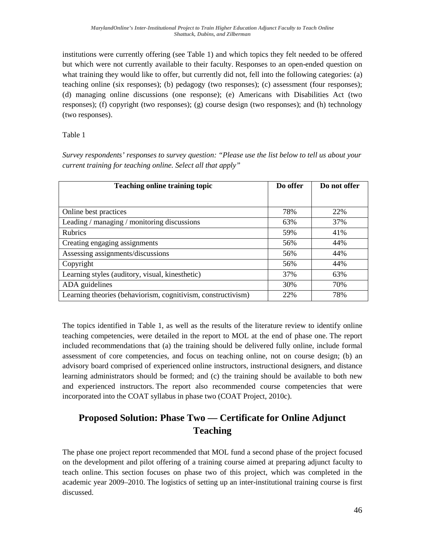institutions were currently offering (see Table 1) and which topics they felt needed to be offered but which were not currently available to their faculty. Responses to an open-ended question on what training they would like to offer, but currently did not, fell into the following categories: (a) teaching online (six responses); (b) pedagogy (two responses); (c) assessment (four responses); (d) managing online discussions (one response); (e) Americans with Disabilities Act (two responses); (f) copyright (two responses); (g) course design (two responses); and (h) technology (two responses).

Table 1

*Survey respondents' responses to survey question: "Please use the list below to tell us about your current training for teaching online. Select all that apply"*

| <b>Teaching online training topic</b>                        | Do offer | Do not offer |
|--------------------------------------------------------------|----------|--------------|
|                                                              |          |              |
| Online best practices                                        | 78%      | 22%          |
| Leading / managing / monitoring discussions                  | 63%      | 37%          |
| <b>Rubrics</b>                                               | 59%      | 41%          |
| Creating engaging assignments                                | 56%      | 44%          |
| Assessing assignments/discussions                            | 56%      | 44%          |
| Copyright                                                    | 56%      | 44%          |
| Learning styles (auditory, visual, kinesthetic)              | 37%      | 63%          |
| ADA guidelines                                               | 30%      | 70%          |
| Learning theories (behaviorism, cognitivism, constructivism) | 22%      | 78%          |

The topics identified in Table 1, as well as the results of the literature review to identify online teaching competencies, were detailed in the report to MOL at the end of phase one. The report included recommendations that (a) the training should be delivered fully online, include formal assessment of core competencies, and focus on teaching online, not on course design; (b) an advisory board comprised of experienced online instructors, instructional designers, and distance learning administrators should be formed; and (c) the training should be available to both new and experienced instructors. The report also recommended course competencies that were incorporated into the COAT syllabus in phase two (COAT Project, 2010c).

# **Proposed Solution: Phase Two — Certificate for Online Adjunct Teaching**

The phase one project report recommended that MOL fund a second phase of the project focused on the development and pilot offering of a training course aimed at preparing adjunct faculty to teach online. This section focuses on phase two of this project, which was completed in the academic year 2009–2010. The logistics of setting up an inter-institutional training course is first discussed.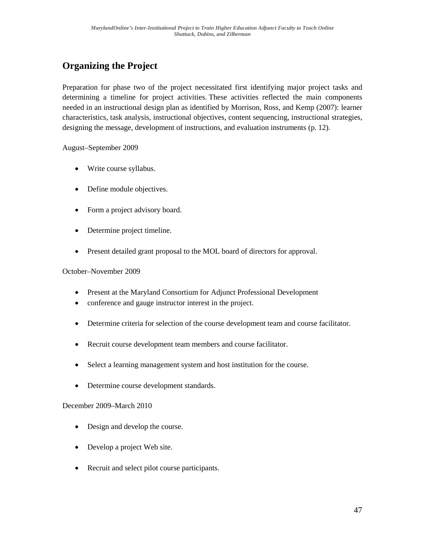# **Organizing the Project**

Preparation for phase two of the project necessitated first identifying major project tasks and determining a timeline for project activities. These activities reflected the main components needed in an instructional design plan as identified by Morrison, Ross, and Kemp (2007): learner characteristics, task analysis, instructional objectives, content sequencing, instructional strategies, designing the message, development of instructions, and evaluation instruments (p. 12).

August–September 2009

- Write course syllabus.
- Define module objectives.
- Form a project advisory board.
- Determine project timeline.
- Present detailed grant proposal to the MOL board of directors for approval.

#### October–November 2009

- Present at the Maryland Consortium for Adjunct Professional Development
- conference and gauge instructor interest in the project.
- Determine criteria for selection of the course development team and course facilitator.
- Recruit course development team members and course facilitator.
- Select a learning management system and host institution for the course.
- Determine course development standards.

#### December 2009–March 2010

- Design and develop the course.
- Develop a project Web site.
- Recruit and select pilot course participants.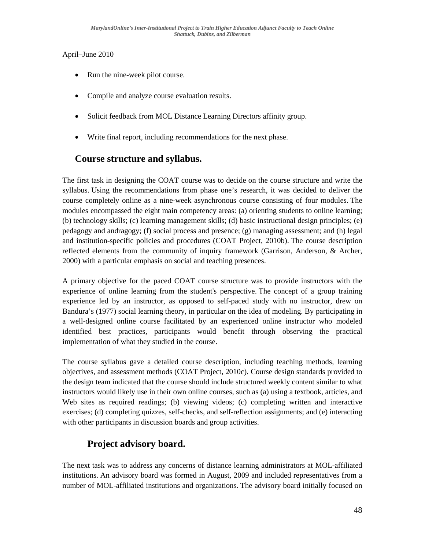#### April–June 2010

- Run the nine-week pilot course.
- Compile and analyze course evaluation results.
- Solicit feedback from MOL Distance Learning Directors affinity group.
- Write final report, including recommendations for the next phase.

# **Course structure and syllabus.**

The first task in designing the COAT course was to decide on the course structure and write the syllabus. Using the recommendations from phase one's research, it was decided to deliver the course completely online as a nine-week asynchronous course consisting of four modules. The modules encompassed the eight main competency areas: (a) orienting students to online learning; (b) technology skills; (c) learning management skills; (d) basic instructional design principles; (e) pedagogy and andragogy; (f) social process and presence; (g) managing assessment; and (h) legal and institution-specific policies and procedures (COAT Project, 2010b). The course description reflected elements from the community of inquiry framework (Garrison, Anderson, & Archer, 2000) with a particular emphasis on social and teaching presences.

A primary objective for the paced COAT course structure was to provide instructors with the experience of online learning from the student's perspective. The concept of a group training experience led by an instructor, as opposed to self-paced study with no instructor, drew on Bandura's (1977) social learning theory, in particular on the idea of modeling. By participating in a well-designed online course facilitated by an experienced online instructor who modeled identified best practices, participants would benefit through observing the practical implementation of what they studied in the course.

The course syllabus gave a detailed course description, including teaching methods, learning objectives, and assessment methods (COAT Project, 2010c). Course design standards provided to the design team indicated that the course should include structured weekly content similar to what instructors would likely use in their own online courses, such as (a) using a textbook, articles, and Web sites as required readings; (b) viewing videos; (c) completing written and interactive exercises; (d) completing quizzes, self-checks, and self-reflection assignments; and (e) interacting with other participants in discussion boards and group activities.

### **Project advisory board.**

The next task was to address any concerns of distance learning administrators at MOL-affiliated institutions. An advisory board was formed in August, 2009 and included representatives from a number of MOL-affiliated institutions and organizations. The advisory board initially focused on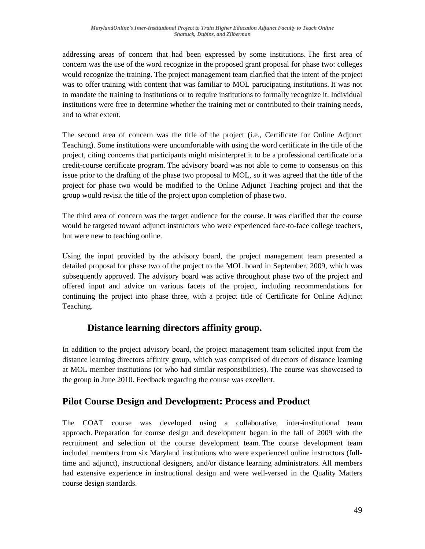addressing areas of concern that had been expressed by some institutions. The first area of concern was the use of the word recognize in the proposed grant proposal for phase two: colleges would recognize the training. The project management team clarified that the intent of the project was to offer training with content that was familiar to MOL participating institutions. It was not to mandate the training to institutions or to require institutions to formally recognize it. Individual institutions were free to determine whether the training met or contributed to their training needs, and to what extent.

The second area of concern was the title of the project (i.e., Certificate for Online Adjunct Teaching). Some institutions were uncomfortable with using the word certificate in the title of the project, citing concerns that participants might misinterpret it to be a professional certificate or a credit-course certificate program. The advisory board was not able to come to consensus on this issue prior to the drafting of the phase two proposal to MOL, so it was agreed that the title of the project for phase two would be modified to the Online Adjunct Teaching project and that the group would revisit the title of the project upon completion of phase two.

The third area of concern was the target audience for the course. It was clarified that the course would be targeted toward adjunct instructors who were experienced face-to-face college teachers, but were new to teaching online.

Using the input provided by the advisory board, the project management team presented a detailed proposal for phase two of the project to the MOL board in September, 2009, which was subsequently approved. The advisory board was active throughout phase two of the project and offered input and advice on various facets of the project, including recommendations for continuing the project into phase three, with a project title of Certificate for Online Adjunct Teaching.

### **Distance learning directors affinity group.**

In addition to the project advisory board, the project management team solicited input from the distance learning directors affinity group, which was comprised of directors of distance learning at MOL member institutions (or who had similar responsibilities). The course was showcased to the group in June 2010. Feedback regarding the course was excellent.

### **Pilot Course Design and Development: Process and Product**

The COAT course was developed using a collaborative, inter-institutional team approach. Preparation for course design and development began in the fall of 2009 with the recruitment and selection of the course development team. The course development team included members from six Maryland institutions who were experienced online instructors (fulltime and adjunct), instructional designers, and/or distance learning administrators. All members had extensive experience in instructional design and were well-versed in the Quality Matters course design standards.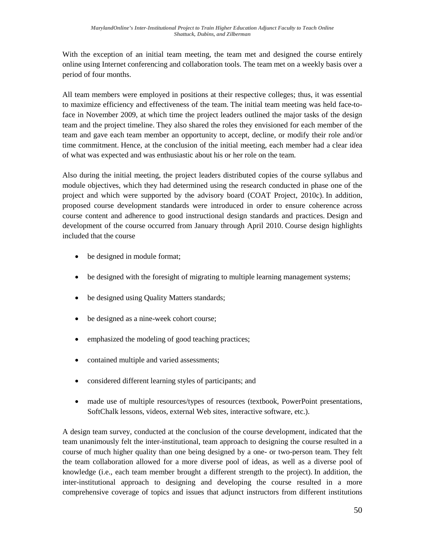With the exception of an initial team meeting, the team met and designed the course entirely online using Internet conferencing and collaboration tools. The team met on a weekly basis over a period of four months.

All team members were employed in positions at their respective colleges; thus, it was essential to maximize efficiency and effectiveness of the team. The initial team meeting was held face-toface in November 2009, at which time the project leaders outlined the major tasks of the design team and the project timeline. They also shared the roles they envisioned for each member of the team and gave each team member an opportunity to accept, decline, or modify their role and/or time commitment. Hence, at the conclusion of the initial meeting, each member had a clear idea of what was expected and was enthusiastic about his or her role on the team.

Also during the initial meeting, the project leaders distributed copies of the course syllabus and module objectives, which they had determined using the research conducted in phase one of the project and which were supported by the advisory board (COAT Project, 2010c). In addition, proposed course development standards were introduced in order to ensure coherence across course content and adherence to good instructional design standards and practices. Design and development of the course occurred from January through April 2010. Course design highlights included that the course

- be designed in module format;
- be designed with the foresight of migrating to multiple learning management systems;
- be designed using Quality Matters standards;
- be designed as a nine-week cohort course;
- emphasized the modeling of good teaching practices;
- contained multiple and varied assessments;
- considered different learning styles of participants; and
- made use of multiple resources/types of resources (textbook, PowerPoint presentations, SoftChalk lessons, videos, external Web sites, interactive software, etc.).

A design team survey, conducted at the conclusion of the course development, indicated that the team unanimously felt the inter-institutional, team approach to designing the course resulted in a course of much higher quality than one being designed by a one- or two-person team. They felt the team collaboration allowed for a more diverse pool of ideas, as well as a diverse pool of knowledge (i.e., each team member brought a different strength to the project). In addition, the inter-institutional approach to designing and developing the course resulted in a more comprehensive coverage of topics and issues that adjunct instructors from different institutions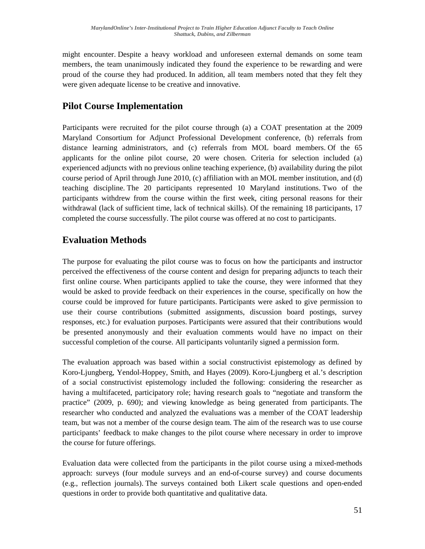might encounter. Despite a heavy workload and unforeseen external demands on some team members, the team unanimously indicated they found the experience to be rewarding and were proud of the course they had produced. In addition, all team members noted that they felt they were given adequate license to be creative and innovative.

# **Pilot Course Implementation**

Participants were recruited for the pilot course through (a) a COAT presentation at the 2009 Maryland Consortium for Adjunct Professional Development conference, (b) referrals from distance learning administrators, and (c) referrals from MOL board members. Of the 65 applicants for the online pilot course, 20 were chosen. Criteria for selection included (a) experienced adjuncts with no previous online teaching experience, (b) availability during the pilot course period of April through June 2010, (c) affiliation with an MOL member institution, and (d) teaching discipline. The 20 participants represented 10 Maryland institutions. Two of the participants withdrew from the course within the first week, citing personal reasons for their withdrawal (lack of sufficient time, lack of technical skills). Of the remaining 18 participants, 17 completed the course successfully. The pilot course was offered at no cost to participants.

### **Evaluation Methods**

The purpose for evaluating the pilot course was to focus on how the participants and instructor perceived the effectiveness of the course content and design for preparing adjuncts to teach their first online course. When participants applied to take the course, they were informed that they would be asked to provide feedback on their experiences in the course, specifically on how the course could be improved for future participants. Participants were asked to give permission to use their course contributions (submitted assignments, discussion board postings, survey responses, etc.) for evaluation purposes. Participants were assured that their contributions would be presented anonymously and their evaluation comments would have no impact on their successful completion of the course. All participants voluntarily signed a permission form.

The evaluation approach was based within a social constructivist epistemology as defined by Koro-Ljungberg, Yendol-Hoppey, Smith, and Hayes (2009). Koro-Ljungberg et al.'s description of a social constructivist epistemology included the following: considering the researcher as having a multifaceted, participatory role; having research goals to "negotiate and transform the practice" (2009, p. 690); and viewing knowledge as being generated from participants. The researcher who conducted and analyzed the evaluations was a member of the COAT leadership team, but was not a member of the course design team. The aim of the research was to use course participants' feedback to make changes to the pilot course where necessary in order to improve the course for future offerings.

Evaluation data were collected from the participants in the pilot course using a mixed-methods approach: surveys (four module surveys and an end-of-course survey) and course documents (e.g., reflection journals). The surveys contained both Likert scale questions and open-ended questions in order to provide both quantitative and qualitative data.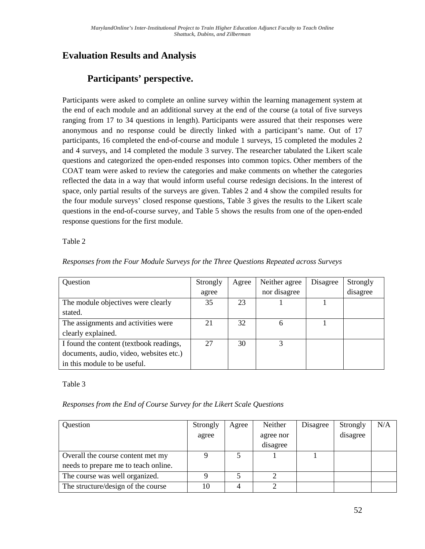# **Evaluation Results and Analysis**

### **Participants' perspective.**

Participants were asked to complete an online survey within the learning management system at the end of each module and an additional survey at the end of the course (a total of five surveys ranging from 17 to 34 questions in length). Participants were assured that their responses were anonymous and no response could be directly linked with a participant's name. Out of 17 participants, 16 completed the end-of-course and module 1 surveys, 15 completed the modules 2 and 4 surveys, and 14 completed the module 3 survey. The researcher tabulated the Likert scale questions and categorized the open-ended responses into common topics. Other members of the COAT team were asked to review the categories and make comments on whether the categories reflected the data in a way that would inform useful course redesign decisions. In the interest of space, only partial results of the surveys are given. Tables 2 and 4 show the compiled results for the four module surveys' closed response questions, Table 3 gives the results to the Likert scale questions in the end-of-course survey, and Table 5 shows the results from one of the open-ended response questions for the first module.

#### Table 2

| Responses from the Four Module Surveys for the Three Questions Repeated across Surveys |  |  |  |  |  |
|----------------------------------------------------------------------------------------|--|--|--|--|--|
|                                                                                        |  |  |  |  |  |
|                                                                                        |  |  |  |  |  |
|                                                                                        |  |  |  |  |  |

| Question                                | Strongly | Agree | Neither agree | Disagree | Strongly |
|-----------------------------------------|----------|-------|---------------|----------|----------|
|                                         | agree    |       | nor disagree  |          | disagree |
| The module objectives were clearly      | 35       | 23    |               |          |          |
| stated.                                 |          |       |               |          |          |
| The assignments and activities were     | 21       | 32    | h             |          |          |
| clearly explained.                      |          |       |               |          |          |
| I found the content (textbook readings, | 27       | 30    |               |          |          |
| documents, audio, video, websites etc.) |          |       |               |          |          |
| in this module to be useful.            |          |       |               |          |          |

#### Table 3

*Responses from the End of Course Survey for the Likert Scale Questions*

| Question                             | Strongly | Agree | Neither   | Disagree | Strongly | N/A |
|--------------------------------------|----------|-------|-----------|----------|----------|-----|
|                                      | agree    |       | agree nor |          | disagree |     |
|                                      |          |       | disagree  |          |          |     |
| Overall the course content met my    |          |       |           |          |          |     |
| needs to prepare me to teach online. |          |       |           |          |          |     |
| The course was well organized.       |          |       |           |          |          |     |
| The structure/design of the course   |          |       |           |          |          |     |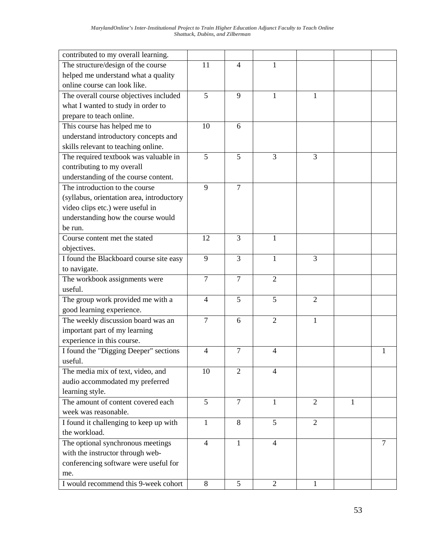| contributed to my overall learning.       |                |                |                |                |   |                |
|-------------------------------------------|----------------|----------------|----------------|----------------|---|----------------|
| The structure/design of the course        | 11             | $\overline{4}$ | 1              |                |   |                |
| helped me understand what a quality       |                |                |                |                |   |                |
| online course can look like.              |                |                |                |                |   |                |
| The overall course objectives included    | 5              | 9              | 1              | 1              |   |                |
| what I wanted to study in order to        |                |                |                |                |   |                |
| prepare to teach online.                  |                |                |                |                |   |                |
| This course has helped me to              | 10             | 6              |                |                |   |                |
| understand introductory concepts and      |                |                |                |                |   |                |
| skills relevant to teaching online.       |                |                |                |                |   |                |
| The required textbook was valuable in     | 5              | 5              | 3              | 3              |   |                |
| contributing to my overall                |                |                |                |                |   |                |
| understanding of the course content.      |                |                |                |                |   |                |
| The introduction to the course            | 9              | $\overline{7}$ |                |                |   |                |
| (syllabus, orientation area, introductory |                |                |                |                |   |                |
| video clips etc.) were useful in          |                |                |                |                |   |                |
| understanding how the course would        |                |                |                |                |   |                |
| be run.                                   |                |                |                |                |   |                |
| Course content met the stated             | 12             | 3              | $\mathbf{1}$   |                |   |                |
| objectives.                               |                |                |                |                |   |                |
| I found the Blackboard course site easy   | 9              | 3              | $\mathbf{1}$   | 3              |   |                |
| to navigate.                              |                |                |                |                |   |                |
| The workbook assignments were             | $\overline{7}$ | $\overline{7}$ | $\overline{2}$ |                |   |                |
| useful.                                   |                |                |                |                |   |                |
| The group work provided me with a         | $\overline{4}$ | 5              | 5              | 2              |   |                |
| good learning experience.                 |                |                |                |                |   |                |
| The weekly discussion board was an        | $\overline{7}$ | 6              | $\overline{2}$ | 1              |   |                |
| important part of my learning             |                |                |                |                |   |                |
| experience in this course.                |                |                |                |                |   |                |
| I found the "Digging Deeper" sections     | 4              | 7              | 4              |                |   | 1              |
| useful.                                   |                |                |                |                |   |                |
| The media mix of text, video, and         | 10             | $\overline{2}$ | $\overline{4}$ |                |   |                |
| audio accommodated my preferred           |                |                |                |                |   |                |
| learning style.                           |                |                |                |                |   |                |
| The amount of content covered each        | 5              | $\overline{7}$ | $\mathbf{1}$   | $\overline{2}$ | 1 |                |
| week was reasonable.                      |                |                |                |                |   |                |
| I found it challenging to keep up with    | 1              | 8              | 5              | $\overline{2}$ |   |                |
| the workload.                             |                |                |                |                |   |                |
| The optional synchronous meetings         | $\overline{4}$ | $\mathbf{1}$   | $\overline{4}$ |                |   | $\overline{7}$ |
| with the instructor through web-          |                |                |                |                |   |                |
| conferencing software were useful for     |                |                |                |                |   |                |
| me.                                       |                |                |                |                |   |                |
| I would recommend this 9-week cohort      | 8              | 5              | $\overline{2}$ | $\mathbf{1}$   |   |                |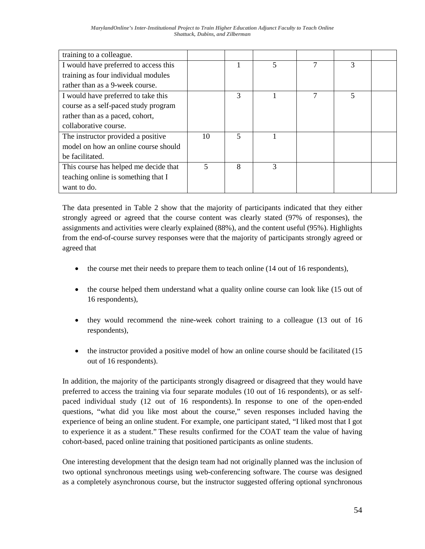| training to a colleague.              |    |   |   |   |  |
|---------------------------------------|----|---|---|---|--|
| I would have preferred to access this |    |   | 5 | 3 |  |
| training as four individual modules   |    |   |   |   |  |
| rather than as a 9-week course.       |    |   |   |   |  |
| I would have preferred to take this   |    | 3 |   | 5 |  |
| course as a self-paced study program  |    |   |   |   |  |
| rather than as a paced, cohort,       |    |   |   |   |  |
| collaborative course.                 |    |   |   |   |  |
| The instructor provided a positive    | 10 | 5 |   |   |  |
| model on how an online course should  |    |   |   |   |  |
| be facilitated.                       |    |   |   |   |  |
| This course has helped me decide that | 5  | 8 | 3 |   |  |
| teaching online is something that I   |    |   |   |   |  |
| want to do.                           |    |   |   |   |  |

The data presented in Table 2 show that the majority of participants indicated that they either strongly agreed or agreed that the course content was clearly stated (97% of responses), the assignments and activities were clearly explained (88%), and the content useful (95%). Highlights from the end-of-course survey responses were that the majority of participants strongly agreed or agreed that

- the course met their needs to prepare them to teach online (14 out of 16 respondents),
- the course helped them understand what a quality online course can look like (15 out of 16 respondents),
- they would recommend the nine-week cohort training to a colleague (13 out of 16 respondents),
- the instructor provided a positive model of how an online course should be facilitated (15) out of 16 respondents).

In addition, the majority of the participants strongly disagreed or disagreed that they would have preferred to access the training via four separate modules (10 out of 16 respondents), or as selfpaced individual study (12 out of 16 respondents). In response to one of the open-ended questions, "what did you like most about the course," seven responses included having the experience of being an online student. For example, one participant stated, "I liked most that I got to experience it as a student." These results confirmed for the COAT team the value of having cohort-based, paced online training that positioned participants as online students.

One interesting development that the design team had not originally planned was the inclusion of two optional synchronous meetings using web-conferencing software. The course was designed as a completely asynchronous course, but the instructor suggested offering optional synchronous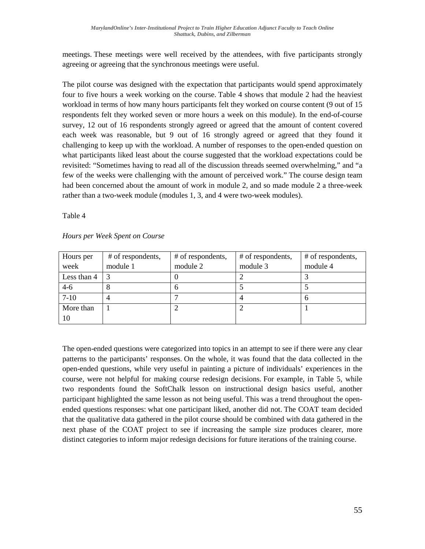meetings. These meetings were well received by the attendees, with five participants strongly agreeing or agreeing that the synchronous meetings were useful.

The pilot course was designed with the expectation that participants would spend approximately four to five hours a week working on the course. Table 4 shows that module 2 had the heaviest workload in terms of how many hours participants felt they worked on course content (9 out of 15 respondents felt they worked seven or more hours a week on this module). In the end-of-course survey, 12 out of 16 respondents strongly agreed or agreed that the amount of content covered each week was reasonable, but 9 out of 16 strongly agreed or agreed that they found it challenging to keep up with the workload. A number of responses to the open-ended question on what participants liked least about the course suggested that the workload expectations could be revisited: "Sometimes having to read all of the discussion threads seemed overwhelming," and "a few of the weeks were challenging with the amount of perceived work." The course design team had been concerned about the amount of work in module 2, and so made module 2 a three-week rather than a two-week module (modules 1, 3, and 4 were two-week modules).

#### Table 4

#### *Hours per Week Spent on Course*

| Hours per   | # of respondents, | # of respondents, | # of respondents, | # of respondents, |
|-------------|-------------------|-------------------|-------------------|-------------------|
| week        | module 1          | module 2          | module 3          | module 4          |
| Less than 4 |                   |                   |                   |                   |
| $4 - 6$     | Ω                 | 6                 |                   |                   |
| $7-10$      |                   |                   |                   | 6                 |
| More than   |                   |                   |                   |                   |
| 10          |                   |                   |                   |                   |

The open-ended questions were categorized into topics in an attempt to see if there were any clear patterns to the participants' responses. On the whole, it was found that the data collected in the open-ended questions, while very useful in painting a picture of individuals' experiences in the course, were not helpful for making course redesign decisions. For example, in Table 5, while two respondents found the SoftChalk lesson on instructional design basics useful, another participant highlighted the same lesson as not being useful. This was a trend throughout the openended questions responses: what one participant liked, another did not. The COAT team decided that the qualitative data gathered in the pilot course should be combined with data gathered in the next phase of the COAT project to see if increasing the sample size produces clearer, more distinct categories to inform major redesign decisions for future iterations of the training course.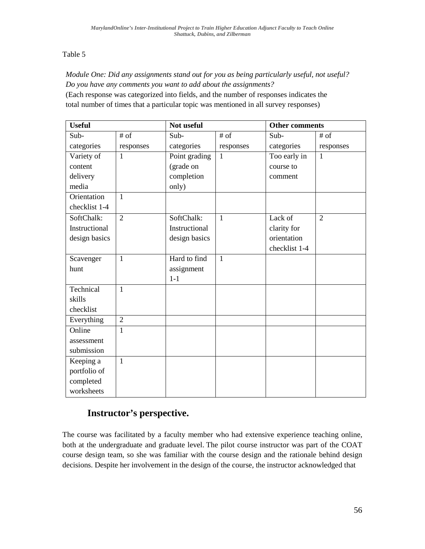#### Table 5

*Module One: Did any assignments stand out for you as being particularly useful, not useful? Do you have any comments you want to add about the assignments?*

(Each response was categorized into fields, and the number of responses indicates the total number of times that a particular topic was mentioned in all survey responses)

| <b>Useful</b> |                | Not useful    |              | <b>Other comments</b> |                |  |
|---------------|----------------|---------------|--------------|-----------------------|----------------|--|
| Sub-          | $#$ of         | Sub-          | # of         | Sub-                  | # of           |  |
| categories    | responses      | categories    | responses    | categories            | responses      |  |
| Variety of    | $\mathbf{1}$   | Point grading | $\mathbf{1}$ | Too early in          | $\mathbf{1}$   |  |
| content       |                | (grade on     |              | course to             |                |  |
| delivery      |                | completion    |              | comment               |                |  |
| media         |                | only)         |              |                       |                |  |
| Orientation   | $\mathbf{1}$   |               |              |                       |                |  |
| checklist 1-4 |                |               |              |                       |                |  |
| SoftChalk:    | $\overline{2}$ | SoftChalk:    | $\mathbf{1}$ | Lack of               | $\overline{2}$ |  |
| Instructional |                | Instructional |              | clarity for           |                |  |
| design basics |                | design basics |              | orientation           |                |  |
|               |                |               |              | checklist 1-4         |                |  |
| Scavenger     | $\mathbf{1}$   | Hard to find  | $\mathbf{1}$ |                       |                |  |
| hunt          |                | assignment    |              |                       |                |  |
|               |                | $1-1$         |              |                       |                |  |
| Technical     | $\mathbf{1}$   |               |              |                       |                |  |
| skills        |                |               |              |                       |                |  |
| checklist     |                |               |              |                       |                |  |
| Everything    | $\overline{2}$ |               |              |                       |                |  |
| Online        | 1              |               |              |                       |                |  |
| assessment    |                |               |              |                       |                |  |
| submission    |                |               |              |                       |                |  |
| Keeping a     | $\mathbf{1}$   |               |              |                       |                |  |
| portfolio of  |                |               |              |                       |                |  |
| completed     |                |               |              |                       |                |  |
| worksheets    |                |               |              |                       |                |  |

#### **Instructor's perspective.**

The course was facilitated by a faculty member who had extensive experience teaching online, both at the undergraduate and graduate level. The pilot course instructor was part of the COAT course design team, so she was familiar with the course design and the rationale behind design decisions. Despite her involvement in the design of the course, the instructor acknowledged that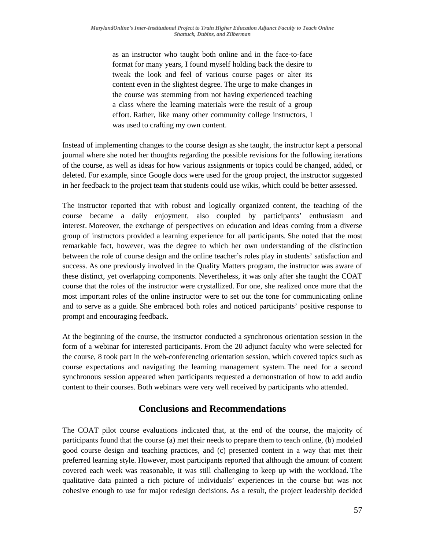as an instructor who taught both online and in the face-to-face format for many years, I found myself holding back the desire to tweak the look and feel of various course pages or alter its content even in the slightest degree. The urge to make changes in the course was stemming from not having experienced teaching a class where the learning materials were the result of a group effort. Rather, like many other community college instructors, I was used to crafting my own content.

Instead of implementing changes to the course design as she taught, the instructor kept a personal journal where she noted her thoughts regarding the possible revisions for the following iterations of the course, as well as ideas for how various assignments or topics could be changed, added, or deleted. For example, since Google docs were used for the group project, the instructor suggested in her feedback to the project team that students could use wikis, which could be better assessed.

The instructor reported that with robust and logically organized content, the teaching of the course became a daily enjoyment, also coupled by participants' enthusiasm and interest. Moreover, the exchange of perspectives on education and ideas coming from a diverse group of instructors provided a learning experience for all participants. She noted that the most remarkable fact, however, was the degree to which her own understanding of the distinction between the role of course design and the online teacher's roles play in students' satisfaction and success. As one previously involved in the Quality Matters program, the instructor was aware of these distinct, yet overlapping components. Nevertheless, it was only after she taught the COAT course that the roles of the instructor were crystallized. For one, she realized once more that the most important roles of the online instructor were to set out the tone for communicating online and to serve as a guide. She embraced both roles and noticed participants' positive response to prompt and encouraging feedback.

At the beginning of the course, the instructor conducted a synchronous orientation session in the form of a webinar for interested participants. From the 20 adjunct faculty who were selected for the course, 8 took part in the web-conferencing orientation session, which covered topics such as course expectations and navigating the learning management system. The need for a second synchronous session appeared when participants requested a demonstration of how to add audio content to their courses. Both webinars were very well received by participants who attended.

### **Conclusions and Recommendations**

The COAT pilot course evaluations indicated that, at the end of the course, the majority of participants found that the course (a) met their needs to prepare them to teach online, (b) modeled good course design and teaching practices, and (c) presented content in a way that met their preferred learning style. However, most participants reported that although the amount of content covered each week was reasonable, it was still challenging to keep up with the workload. The qualitative data painted a rich picture of individuals' experiences in the course but was not cohesive enough to use for major redesign decisions. As a result, the project leadership decided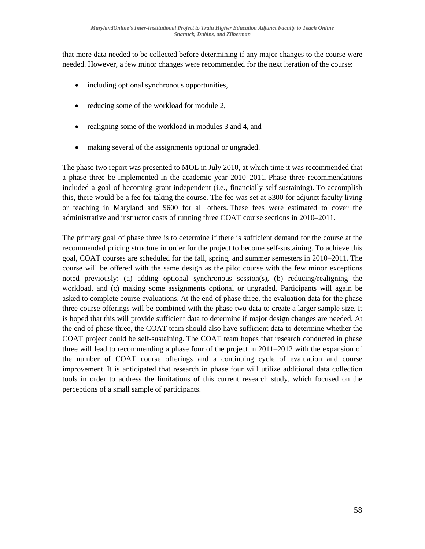that more data needed to be collected before determining if any major changes to the course were needed. However, a few minor changes were recommended for the next iteration of the course:

- including optional synchronous opportunities,
- reducing some of the workload for module 2,
- realigning some of the workload in modules 3 and 4, and
- making several of the assignments optional or ungraded.

The phase two report was presented to MOL in July 2010, at which time it was recommended that a phase three be implemented in the academic year 2010–2011. Phase three recommendations included a goal of becoming grant-independent (i.e., financially self-sustaining). To accomplish this, there would be a fee for taking the course. The fee was set at \$300 for adjunct faculty living or teaching in Maryland and \$600 for all others. These fees were estimated to cover the administrative and instructor costs of running three COAT course sections in 2010–2011.

The primary goal of phase three is to determine if there is sufficient demand for the course at the recommended pricing structure in order for the project to become self-sustaining. To achieve this goal, COAT courses are scheduled for the fall, spring, and summer semesters in 2010–2011. The course will be offered with the same design as the pilot course with the few minor exceptions noted previously: (a) adding optional synchronous session(s), (b) reducing/realigning the workload, and (c) making some assignments optional or ungraded. Participants will again be asked to complete course evaluations. At the end of phase three, the evaluation data for the phase three course offerings will be combined with the phase two data to create a larger sample size. It is hoped that this will provide sufficient data to determine if major design changes are needed. At the end of phase three, the COAT team should also have sufficient data to determine whether the COAT project could be self-sustaining. The COAT team hopes that research conducted in phase three will lead to recommending a phase four of the project in 2011–2012 with the expansion of the number of COAT course offerings and a continuing cycle of evaluation and course improvement. It is anticipated that research in phase four will utilize additional data collection tools in order to address the limitations of this current research study, which focused on the perceptions of a small sample of participants.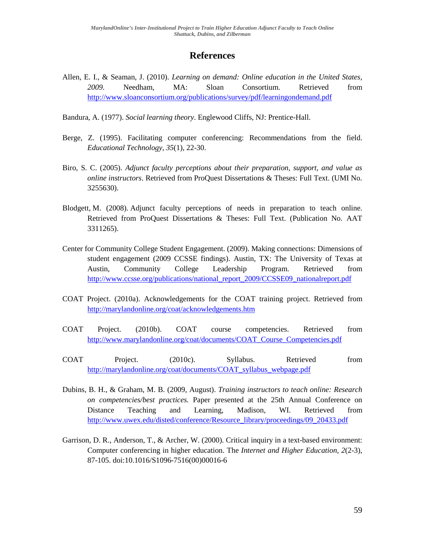#### **References**

- Allen, E. I., & Seaman, J. (2010). *Learning on demand: Online education in the United States, 2009*. Needham, MA: Sloan Consortium. Retrieved from <http://www.sloanconsortium.org/publications/survey/pdf/learningondemand.pdf>
- Bandura, A. (1977). *Social learning theory*. Englewood Cliffs, NJ: Prentice-Hall.
- Berge, Z. (1995). Facilitating computer conferencing: Recommendations from the field. *Educational Technology, 35*(1), 22-30.
- Biro, S. C. (2005). *Adjunct faculty perceptions about their preparation, support, and value as online instructors*. Retrieved from ProQuest Dissertations & Theses: Full Text. (UMI No. 3255630).
- Blodgett, M. (2008). Adjunct faculty perceptions of needs in preparation to teach online. Retrieved from ProQuest Dissertations & Theses: Full Text. (Publication No. AAT 3311265).
- Center for Community College Student Engagement. (2009). Making connections: Dimensions of student engagement (2009 CCSSE findings). Austin, TX: The University of Texas at Austin, Community College Leadership Program. Retrieved from http://www.ccsse.org/publications/national\_report\_2009/CCSSE09\_nationalreport.pdf
- COAT Project. (2010a). Acknowledgements for the COAT training project. Retrieved from <http://marylandonline.org/coat/acknowledgements.htm>
- COAT Project. (2010b). COAT course competencies. Retrieved from [http://www.marylandonline.org/coat/documents/COAT\\_Course\\_Competencies.pdf](http://www.marylandonline.org/coat/documents/COAT_Course_Competencies.pdf)
- COAT Project. (2010c). Syllabus. Retrieved from [http://marylandonline.org/coat/documents/COAT\\_syllabus\\_webpage.pdf](http://marylandonline.org/coat/documents/COAT_syllabus_webpage.pdf)
- Dubins, B. H., & Graham, M. B. (2009, August). *Training instructors to teach online: Research on competencies/best practices.* Paper presented at the 25th Annual Conference on Distance Teaching and Learning, Madison, WI. Retrieved from [http://www.uwex.edu/disted/conference/Resource\\_library/proceedings/09\\_20433.pdf](http://www.uwex.edu/disted/conference/Resource_library/proceedings/09_20433.pdf)
- Garrison, D. R., Anderson, T., & Archer, W. (2000). Critical inquiry in a text-based environment: Computer conferencing in higher education. The *Internet and Higher Education, 2*(2-3), 87-105. doi:10.1016/S1096-7516(00)00016-6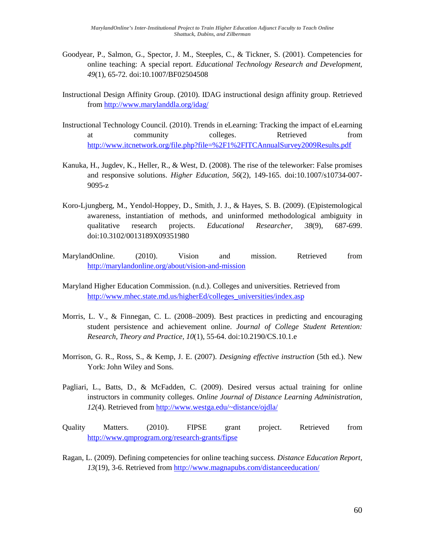- Goodyear, P., Salmon, G., Spector, J. M., Steeples, C., & Tickner, S. (2001). Competencies for online teaching: A special report. *Educational Technology Research and Development, 49*(1), 65-72. doi:10.1007/BF02504508
- Instructional Design Affinity Group. (2010). IDAG instructional design affinity group. Retrieved from<http://www.marylanddla.org/idag/>
- Instructional Technology Council. (2010). Trends in eLearning: Tracking the impact of eLearning at community colleges. Retrieved from <http://www.itcnetwork.org/file.php?file=%2F1%2FITCAnnualSurvey2009Results.pdf>
- Kanuka, H., Jugdev, K., Heller, R., & West, D. (2008). The rise of the teleworker: False promises and responsive solutions. *Higher Education, 56*(2), 149-165. doi:10.1007/s10734-007- 9095-z
- Koro-Ljungberg, M., Yendol-Hoppey, D., Smith, J. J., & Hayes, S. B. (2009). (E)pistemological awareness, instantiation of methods, and uninformed methodological ambiguity in qualitative research projects. *Educational Researcher, 38*(9), 687-699. doi:10.3102/0013189X09351980
- MarylandOnline. (2010). Vision and mission. Retrieved from <http://marylandonline.org/about/vision-and-mission>
- Maryland Higher Education Commission. (n.d.). Colleges and universities. Retrieved from [http://www.mhec.state.md.us/higherEd/colleges\\_universities/index.asp](http://www.mhec.state.md.us/higherEd/colleges_universities/index.asp)
- Morris, L. V., & Finnegan, C. L. (2008–2009). Best practices in predicting and encouraging student persistence and achievement online. *Journal of College Student Retention: Research, Theory and Practice, 10*(1), 55-64. doi:10.2190/CS.10.1.e
- Morrison, G. R., Ross, S., & Kemp, J. E. (2007). *Designing effective instruction* (5th ed.). New York: John Wiley and Sons.
- Pagliari, L., Batts, D., & McFadden, C. (2009). Desired versus actual training for online instructors in community colleges. *Online Journal of Distance Learning Administration, 12*(4). Retrieved from<http://www.westga.edu/~distance/ojdla/>
- Quality Matters. (2010). FIPSE grant project. Retrieved from <http://www.qmprogram.org/research-grants/fipse>
- Ragan, L. (2009). Defining competencies for online teaching success. *Distance Education Report, 13*(19), 3-6. Retrieved fro[m http://www.magnapubs.com/distanceeducation/](http://www.magnapubs.com/distanceeducation/)